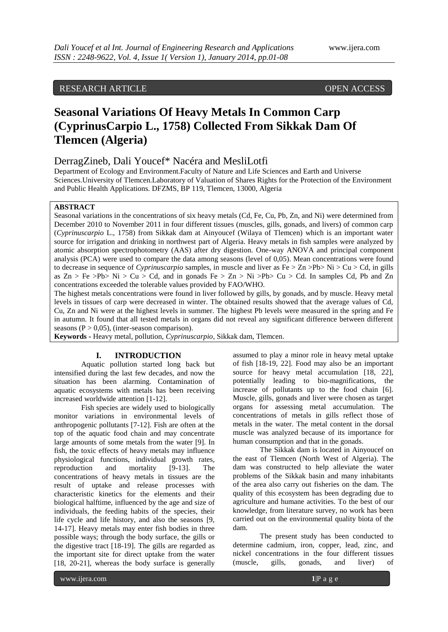## RESEARCH ARTICLE OPEN ACCESS

# **Seasonal Variations Of Heavy Metals In Common Carp (CyprinusCarpio L., 1758) Collected From Sikkak Dam Of Tlemcen (Algeria)**

## DerragZineb, Dali Youcef\* Nacéra and MesliLotfi

Department of Ecology and Environment.Faculty of Nature and Life Sciences and Earth and Universe Sciences.University of Tlemcen.Laboratory of Valuation of Shares Rights for the Protection of the Environment and Public Health Applications. DFZMS, BP 119, Tlemcen, 13000, Algeria

## **ABSTRACT**

Seasonal variations in the concentrations of six heavy metals (Cd, Fe, Cu, Pb, Zn, and Ni) were determined from December 2010 to November 2011 in four different tissues (muscles, gills, gonads, and livers) of common carp (*Cyprinuscarpio* L., 1758) from Sikkak dam at Ainyoucef (Wilaya of Tlemcen) which is an important water source for irrigation and drinking in northwest part of Algeria. Heavy metals in fish samples were analyzed by atomic absorption spectrophotometry (AAS) after dry digestion. One-way ANOVA and principal component analysis (PCA) were used to compare the data among seasons (level of 0,05). Mean concentrations were found to decrease in sequence of *Cyprinuscarpio* samples, in muscle and liver as Fe > Zn >Pb> Ni > Cu > Cd, in gills as  $Zn > Fe$  >Pb> Ni > Cu > Cd, and in gonads Fe > Zn > Ni >Pb> Cu > Cd. In samples Cd, Pb and Zn concentrations exceeded the tolerable values provided by FAO/WHO.

The highest metals concentrations were found in liver followed by gills, by gonads, and by muscle. Heavy metal levels in tissues of carp were decreased in winter. The obtained results showed that the average values of Cd, Cu, Zn and Ni were at the highest levels in summer. The highest Pb levels were measured in the spring and Fe in autumn. It found that all tested metals in organs did not reveal any significant difference between different seasons ( $P > 0.05$ ), (inter-season comparison).

**Keywords -** Heavy metal, pollution, *Cyprinuscarpio*, Sikkak dam, Tlemcen.

#### **I. INTRODUCTION**

Aquatic pollution started long back but intensified during the last few decades, and now the situation has been alarming. Contamination of aquatic ecosystems with metals has been receiving increased worldwide attention [1-12].

Fish species are widely used to biologically monitor variations in environmental levels of anthropogenic pollutants [7-12]. Fish are often at the top of the aquatic food chain and may concentrate large amounts of some metals from the water [9]. In fish, the toxic effects of heavy metals may influence physiological functions, individual growth rates, reproduction and mortality [9-13]. The concentrations of heavy metals in tissues are the result of uptake and release processes with characteristic kinetics for the elements and their biological halftime, influenced by the age and size of individuals, the feeding habits of the species, their life cycle and life history, and also the seasons [9, 14-17]. Heavy metals may enter fish bodies in three possible ways; through the body surface, the gills or the digestive tract [18-19]. The gills are regarded as the important site for direct uptake from the water [18, 20-21], whereas the body surface is generally

assumed to play a minor role in heavy metal uptake of fish [18-19, 22]. Food may also be an important source for heavy metal accumulation [18, 22], potentially leading to bio-magnifications, the increase of pollutants up to the food chain [6]. Muscle, gills, gonads and liver were chosen as target organs for assessing metal accumulation. The concentrations of metals in gills reflect those of metals in the water. The metal content in the dorsal muscle was analyzed because of its importance for human consumption and that in the gonads.

The Sikkak dam is located in Ainyoucef on the east of Tlemcen (North West of Algeria). The dam was constructed to help alleviate the water problems of the Sikkak basin and many inhabitants of the area also carry out fisheries on the dam. The quality of this ecosystem has been degrading due to agriculture and humane activities. To the best of our knowledge, from literature survey, no work has been carried out on the environmental quality biota of the dam.

The present study has been conducted to determine cadmium, iron, copper, lead, zinc, and nickel concentrations in the four different tissues (muscle, gills, gonads, and liver) of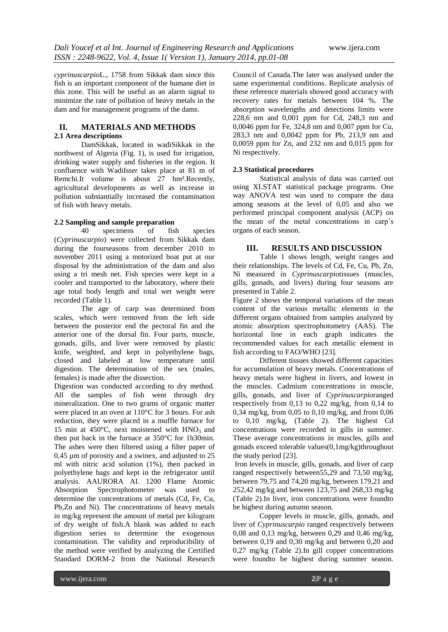*cyprinuscarpio*L., 1758 from Sikkak dam since this fish is an important component of the humane diet in this zone. This will be useful as an alarm signal to minimize the rate of pollution of heavy metals in the dam and for management programs of the dams.

## **II. MATERIALS AND METHODS 2.1 Area descriptions**

DamSikkak, located in wadiSikkak in the northwest of Algeria (Fig. 1), is used for irrigation, drinking water supply and fisheries in the region. It confluence with WadiIsser takes place at 81 m of Remchi.It volume is about 27 hm<sup>3</sup>.Recently, agricultural developments as well as increase in pollution substantially increased the contamination of fish with heavy metals.

#### **2.2 Sampling and sample preparation**

40 specimens of fish species (*Cyprinuscarpio*) were collected from Sikkak dam during the fourseasons from december 2010 to november 2011 using a motorized boat put at our disposal by the administration of the dam and also using a tri mesh net. Fish species were kept in a cooler and transported to the laboratory, where their age total body length and total wet weight were recorded (Table 1).

The age of carp was determined from scales, which were removed from the left side between the posterior end the pectoral fin and the anterior one of the dorsal fin. Four parts, muscle, gonads, gills, and liver were removed by plastic knife, weighted, and kept in polyethylene bags, closed and labeled at low temperature until digestion. The determination of the sex (males, females) is made after the dissection.

Digestion was conducted according to dry method. All the samples of fish went through dry mineralization. One to two grams of organic matter were placed in an oven at 110°C for 3 hours. For ash reduction, they were placed in a muffle furnace for 15 min at  $450^{\circ}$ C, next moistened with  $HNO<sub>3</sub>$  and then put back in the furnace at 350°C for 1h30min. The ashes were then filtered using a filter paper of 0,45 µm of porosity and a swinex, and adjusted to 25 ml with nitric acid solution (1%), then packed in polyethylene bags and kept in the refrigerator until analysis. AAURORA AI. 1200 Flame Atomic Absorption Spectrophotometer was used to determine the concentrations of metals (Cd, Fe, Cu, Pb,Zn and Ni). The concentrations of heavy metals in mg/kg represent the amount of metal per kilogram of dry weight of fish.A blank was added to each digestion series to determine the exogenous contamination. The validity and reproducibility of the method were verified by analyzing the Certified Standard DORM-2 from the National Research

Council of Canada.The later was analysed under the same experimental conditions. Replicate analysis of these reference materials showed good accuracy with recovery rates for metals between 104 %. The absorption wavelengths and detections limits were 228,6 nm and 0,001 ppm for Cd, 248,3 nm and 0,0046 ppm for Fe, 324,8 nm and 0,007 ppm for Cu, 283,3 nm and 0,0042 ppm for Pb, 213,9 nm and 0,0059 ppm for Zn, and 232 nm and 0,015 ppm for Ni respectively.

## **2.3 Statistical procedures**

Statistical analysis of data was carried out using XLSTAT statistical package programs. One way ANOVA test was used to compare the data among seasons at the level of 0,05 and also we performed principal component analysis (ACP) on the mean of the metal concentrations in carp's organs of each season.

## **III. RESULTS AND DISCUSSION**

Table 1 shows length, weight ranges and their relationships. The levels of Cd, Fe, Cu, Pb, Zn, Ni measured in *Cyprinuscarpio*tissues (muscles, gills, gonads, and livers) during four seasons are presented in Table 2.

Figure 2 shows the temporal variations of the mean content of the various metallic elements in the different organs obtained from samples analyzed by atomic absorption spectrophotometry (AAS). The horizontal line in each graph indicates the recommended values for each metallic element in fish according to FAO/WHO [23].

Different tissues showed different capacities for accumulation of heavy metals. Concentrations of heavy metals were highest in livers, and lowest in the muscles. Cadmium concentrations in muscle, gills, gonads, and liver of *Cyprinuscarpio*ranged respectively from 0,13 to 0,22 mg/kg, from 0,14 to 0,34 mg/kg, from 0,05 to 0,10 mg/kg, and from 0,06 to 0,10 mg/kg, (Table 2). The highest Cd concentrations were recorded in gills in summer. These average concentrations in muscles, gills and gonads exceed tolerable values(0,1mg/kg)throughout the study period [23].

Iron levels in muscle, gills, gonads, and liver of carp ranged respectively between55,29 and 73,50 mg/kg, between 79,75 and 74,20 mg/kg, between 179,21 and 252,42 mg/kg and between 123,75 and 268,33 mg/kg (Table 2).In liver, iron concentrations were foundto be highest during autumn season.

Copper levels in muscle, gills, gonads, and liver of *Cyprinuscarpio* ranged respectively between 0,08 and 0,13 mg/kg, between 0,29 and 0,46 mg/kg, between 0,19 and 0,30 mg/kg and between 0,20 and 0,27 mg/kg (Table 2).In gill copper concentrations were foundto be highest during summer season.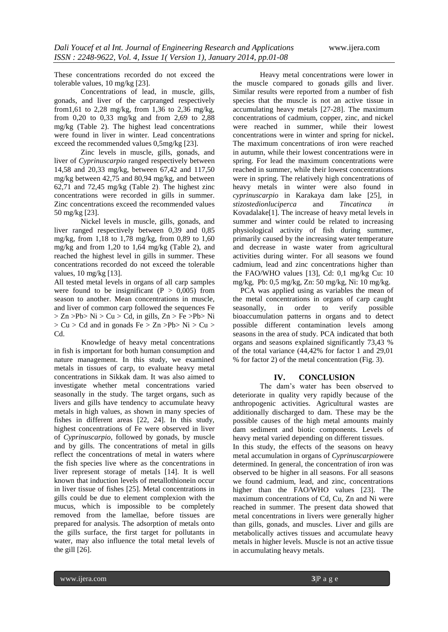These concentrations recorded do not exceed the tolerable values, 10 mg/kg [23].

Concentrations of lead, in muscle, gills, gonads, and liver of the carpranged respectively from1,61 to 2,28 mg/kg, from 1,36 to 2,36 mg/kg, from 0,20 to 0,33 mg/kg and from 2,69 to 2,88 mg/kg (Table 2). The highest lead concentrations were found in liver in winter. Lead concentrations exceed the recommended values 0,5mg/kg [23].

Zinc levels in muscle, gills, gonads, and liver of *Cyprinuscarpio* ranged respectively between 14,58 and 20,33 mg/kg, between 67,42 and 117,50 mg/kg between 42,75 and 80,94 mg/kg, and between 62,71 and 72,45 mg/kg (Table 2). The highest zinc concentrations were recorded in gills in summer. Zinc concentrations exceed the recommended values 50 mg/kg [23].

Nickel levels in muscle, gills, gonads, and liver ranged respectively between 0,39 and 0,85 mg/kg, from 1,18 to 1,78 mg/kg, from 0,89 to 1,60 mg/kg and from 1,20 to 1,64 mg/kg (Table 2), and reached the highest level in gills in summer. These concentrations recorded do not exceed the tolerable values, 10 mg/kg [13].

All tested metal levels in organs of all carp samples were found to be insignificant  $(P > 0.005)$  from season to another. Mean concentrations in muscle, and liver of common carp followed the sequences Fe  $>$  Zn  $>$ Pb $>$  Ni  $>$  Cu  $>$  Cd, in gills, Zn  $>$  Fe  $>$ Pb $>$  Ni  $> Cu > Cd$  and in gonads Fe  $> Zn > Pb > Ni > Cu >$ Cd.

Knowledge of heavy metal concentrations in fish is important for both human consumption and nature management. In this study, we examined metals in tissues of carp, to evaluate heavy metal concentrations in Sikkak dam. It was also aimed to investigate whether metal concentrations varied seasonally in the study. The target organs, such as livers and gills have tendency to accumulate heavy metals in high values, as shown in many species of fishes in different areas [22, 24]. In this study, highest concentrations of Fe were observed in liver of *Cyprinuscarpio*, followed by gonads, by muscle and by gills. The concentrations of metal in gills reflect the concentrations of metal in waters where the fish species live where as the concentrations in liver represent storage of metals [14]. It is well known that induction levels of metallothionein occur in liver tissue of fishes [25]. Metal concentrations in gills could be due to element complexion with the mucus, which is impossible to be completely removed from the lamellae, before tissues are prepared for analysis. The adsorption of metals onto the gills surface, the first target for pollutants in water, may also influence the total metal levels of the gill [26].

Heavy metal concentrations were lower in the muscle compared to gonads gills and liver. Similar results were reported from a number of fish species that the muscle is not an active tissue in accumulating heavy metals [27-28]. The maximum concentrations of cadmium, copper, zinc, and nickel were reached in summer, while their lowest concentrations were in winter and spring for nickel**.**  The maximum concentrations of iron were reached in autumn, while their lowest concentrations were in spring. For lead the maximum concentrations were reached in summer, while their lowest concentrations were in spring. The relatively high concentrations of heavy metals in winter were also found in *cyprinuscarpio* in Karakaya dam lake [25], in *stizostedionluciperca* and *Tincatinca in*  Kovadalake[1]. The increase of heavy metal levels in summer and winter could be related to increasing physiological activity of fish during summer, primarily caused by the increasing water temperature and decrease in waste water from agricultural activities during winter. For all seasons we found cadmium, lead and zinc concentrations higher than the FAO/WHO values [13], Cd: 0,1 mg/kg Cu: 10 mg/kg, Pb: 0,5 mg/kg, Zn: 50 mg/kg, Ni: 10 mg/kg.

PCA was applied using as variables the mean of the metal concentrations in organs of carp caught seasonally, in order to verify possible bioaccumulation patterns in organs and to detect possible different contamination levels among seasons in the area of study. PCA indicated that both organs and seasons explained significantly 73,43 % of the total variance (44,42% for factor 1 and 29,01 % for factor 2) of the metal concentration (Fig. 3).

#### **IV. CONCLUSION**

The dam's water has been observed to deteriorate in quality very rapidly because of the anthropogenic activities. Agricultural wastes are additionally discharged to dam. These may be the possible causes of the high metal amounts mainly dam sediment and biotic components. Levels of heavy metal varied depending on different tissues.

In this study, the effects of the seasons on heavy metal accumulation in organs of *Cyprinuscarpio*were determined. In general, the concentration of iron was observed to be higher in all seasons. For all seasons we found cadmium, lead, and zinc, concentrations higher than the FAO/WHO values [23]. The maximum concentrations of Cd, Cu, Zn and Ni were reached in summer. The present data showed that metal concentrations in livers were generally higher than gills, gonads, and muscles. Liver and gills are metabolically actives tissues and accumulate heavy metals in higher levels. Muscle is not an active tissue in accumulating heavy metals.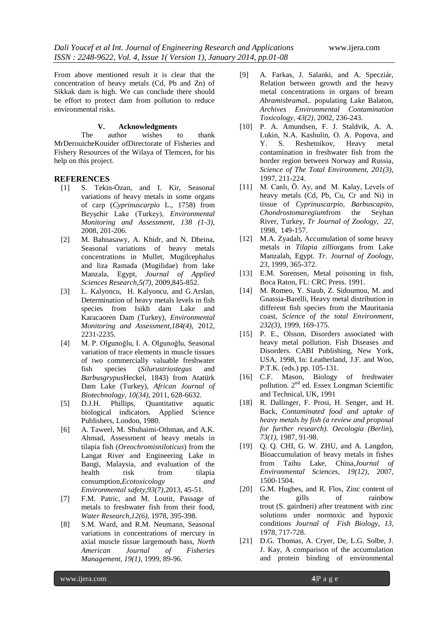From above mentioned result it is clear that the concentration of heavy metals (Cd, Pb and Zn) of Sikkak dam is high. We can conclude there should be effort to protect dam from pollution to reduce environmental risks.

## **V. Acknowledgments**

The author wishes to thank MrDerouicheKouider ofDirectorate of Fisheries and Fishery Resources of the Wilaya of Tlemcen, for his help on this project.

#### **REFERENCES**

- [1] S. Tekin-Özan, and I. Kir, Seasonal variations of heavy metals in some organs of carp (*Cyprinuscarpio* L., 1758) from Beyşehir Lake (Turkey), *Environmental Monitoring and Assessment, 138 (1-3),* 2008, 201-206.
- [2] M. Bahnasawy, A. Khidr, and N. Dheina, Seasonal variations of heavy metals concentrations in Mullet, Mugilcephalus and liza Ramada (Mugilidae) from lake Manzala, Egypt, *Journal of Applied Sciences Research,5(7),* 2009,845-852.
- [3] L. Kalyoncu, H. Kalyoncu, and G.Arslan, Determination of heavy metals levels in fish species from Isikh dam Lake and Karacaoren Dam (Turkey), *Environmental Monitoring and Assessment,184(4),* 2012, 2231-2235.
- [4] M. P. Olgunoğlu, I. A. Olgunoğlu, Seasonal variation of trace elements in muscle tissues of two commercially valuable freshwater fish species (*Silurustriostegus* and *Barbusgrypus*Heckel, 1843) from Atatürk Dam Lake (Turkey), *African Journal of Biotechnology*, *10(34),* 2011, 628-6632.
- [5] D.J.H. Phillips, Quantitative aquatic biological indicators. Applied Science Publishers, London, 1980.
- [6] A. Taweel, M. Shuhaimi-Othman, and A.K. Ahmad, [Assessment of heavy metals in](http://www.sciencedirect.com.www.sndl1.arn.dz/science/article/pii/S014765131300119X)  tilapia fish (*[Oreochromisniloticus](http://www.sciencedirect.com.www.sndl1.arn.dz/science/article/pii/S014765131300119X)*) from the [Langat River and Engineering Lake in](http://www.sciencedirect.com.www.sndl1.arn.dz/science/article/pii/S014765131300119X)  [Bangi, Malaysia, and evaluation of the](http://www.sciencedirect.com.www.sndl1.arn.dz/science/article/pii/S014765131300119X)  health risk from tilapia [consumption,](http://www.sciencedirect.com.www.sndl1.arn.dz/science/article/pii/S014765131300119X)*Ecotoxicology and Environmental safety,93(7),*2013, 45-51.
- [7] F.M. Patric, and M. Loutit, Passage of metals to freshwater fish from their food, *Water Research,12(6),* 1978, 395-398.
- [8] S.M. Ward, and R.M. Neumann, Seasonal variations in concentrations of mercury in axial muscle tissue largemouth bass, *North American Journal of Fisheries Management, 19(1)*, 1999, 89-96.
- [9] A. Farkas, J. Salanki, and A. Specziár, Relation between growth and the heavy metal concentrations in organs of bream *Abramisbrama*L. populating Lake Balaton, *Archives Environmental Contamination Toxicology*, *43(2)*, 2002, 236-243.
- [10] P. A. Amundsen, F. J. Staldvik, A. A. Lukin, N.A. Kashulin, O. A. Popova, and Y. S. Reshetnikov, [Heavy metal](http://www.sciencedirect.com.www.sndl1.arn.dz/science/article/pii/S0048969797840582)  [contamination in freshwater fish from the](http://www.sciencedirect.com.www.sndl1.arn.dz/science/article/pii/S0048969797840582)  [border region between Norway and Russia,](http://www.sciencedirect.com.www.sndl1.arn.dz/science/article/pii/S0048969797840582) *Science of The Total Environment, 201(3)*, 1997, 211-224.
- [11] M. Canlı, Ö. Ay, and M. Kalay, Levels of heavy metals (Cd, Pb, Cu, Cr and Ni) in tissue of *Cyprinuscarpio*, *Barbuscapito, Chondrostomaregium*from the Seyhan River, Turkey, *Tr Journal of Zoology, 22,* 1998, 149-157.
- [12] M.A. Zyadah, Accumulation of some heavy metals in *Tilapia zilli*organs from Lake Manzalah, Egypt. *Tr. Journal of Zoology*, *23*, 1999, 365-372.
- [13] E.M. Sorensen, Metal poisoning in fish, Boca Raton, FL: CRC Press. 1991.
- [14] M. Romeo, Y. Siaub, Z. Sidoumou, M. and Gnassia-Barelli, Heavy metal distribution in different fish species from the Mauritania coast, *Science of the total Environment, 232(3)*, 1999, 169-175.
- [15] P. E., Olsson, Disorders associated with heavy metal pollution. Fish Diseases and Disorders. CABI Publishing, New York, USA, 1998, In: Leatherland, J.F. and Woo, P.T.K. (eds.) pp. 105-131.
- [16] C.F. Mason, Biology of freshwater pollution. 2nd ed. Essex Longman Scientific and Technical, UK, 1991
- [18] R. Dallinger, F. Prosi, H. Senger, and H. Back, *Contaminated food and uptake of heavy metals by fish (a review and proposal for further research). Oecologia (Berlin*), *73(1)*, 1987, 91-98.
- [19] Q. Q. CHI, G. W. ZHU, and A. Langdon, [Bioaccumulation of heavy metals in fishes](http://www.sciencedirect.com.www.sndl1.arn.dz/science/article/pii/S1001074207602447)  [from Taihu Lake, China,](http://www.sciencedirect.com.www.sndl1.arn.dz/science/article/pii/S1001074207602447)*Journal of Environmental Sciences, 19(12)*, 2007, 1500-1504.
- [20] G.M. Hughes, and R. Flos, Zinc content of the gills of rainbow trout (S. gairdneri) after treatment with zinc solutions under normoxic and hypoxic conditions *Journal of Fish Biology*, *13,* 1978, 717-728.
- [21] D.G. Thomas, A. Cryer, De, L.G. Solbe, J. J. Kay, A comparison of the accumulation and protein binding of environmental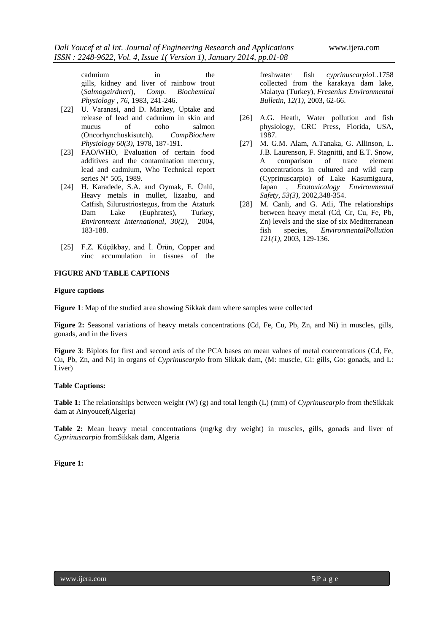cadmium in the gills, kidney and liver of rainbow trout (*Salmogairdneri*), *Comp. Biochemical Physiology , 76,* 1983, 241-246.

- [22] U. Varanasi, and D. Markey, Uptake and release of lead and cadmium in skin and mucus of coho salmon (Oncorhynchuskisutch). *CompBiochem Physiology 60(3),* 1978, 187-191.
- [23] FAO/WHO, Evaluation of certain food additives and the contamination mercury, lead and cadmium, Who Technical report series N° 505, 1989.
- [24] H. Karadede, S.A. and Oymak, E. Ünlü, Heavy metals in mullet, lizaabu, and Catfish, Silurustriostegus, from the Ataturk Dam Lake (Euphrates), Turkey, *Environment International*, *30(2),* 2004, 183-188.
- [25] F.Z. Küçükbay, and İ. Örün, [Copper and](http://www.psp-parlar.de/details_artikel.asp?tabelle=FEBArtikel&artikel_id=215&jahr=2003)  [zinc accumulation in tissues of the](http://www.psp-parlar.de/details_artikel.asp?tabelle=FEBArtikel&artikel_id=215&jahr=2003)

#### **FIGURE AND TABLE CAPTIONS**

#### **Figure captions**

**Figure 1**: Map of the studied area showing Sikkak dam where samples were collected

**Figure 2:** Seasonal variations of heavy metals concentrations (Cd, Fe, Cu, Pb, Zn, and Ni) in muscles, gills, gonads, and in the livers

**Figure 3**: Biplots for first and second axis of the PCA bases on mean values of metal concentrations (Cd, Fe, Cu, Pb, Zn, and Ni) in organs of *Cyprinuscarpio* from Sikkak dam, (M: muscle, Gi: gills, Go: gonads, and L: Liver)

#### **Table Captions:**

**Table 1:** The relationships between weight (W) (g) and total length (L) (mm) of *Cyprinuscarpio* from theSikkak dam at Ainyoucef(Algeria)

**Table 2:** Mean heavy metal concentrations (mg/kg dry weight) in muscles, gills, gonads and liver of *Cyprinuscarpio* fromSikkak dam, Algeria

#### **Figure 1:**

- [26] A.G. Heath, Water pollution and fish physiology, CRC Press, Florida, USA, 1987.
- [27] M. G.M. Alam, A.Tanaka, G. Allinson, L. J.B. Laurenson, F. Stagnitti, and E.T. Snow, A comparison of trace element concentrations in cultured and wild carp (Cyprinuscarpio) of Lake Kasumigaura, Japan , *Ecotoxicology Environmental Safety, 53(3),* 2002*,*348-354.
- [28] M. Canli, and G. Atli, The relationships between heavy metal (Cd, Cr, Cu, Fe, Pb, Zn) levels and the size of six Mediterranean fish species, *[EnvironmentalPollution](http://www.ingentaconnect.com/content/els/02697491)  121(1),* 2003, 129-136.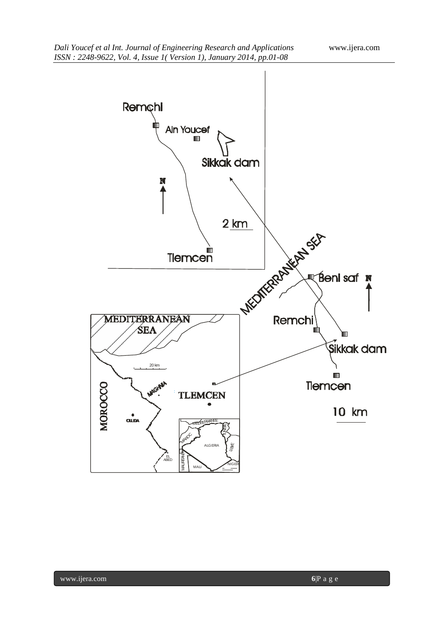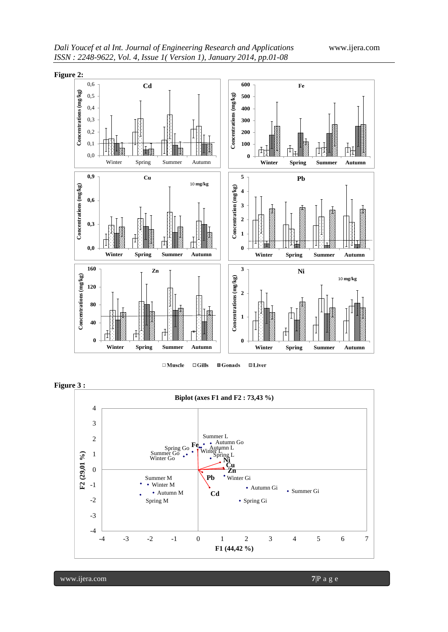

 $\Box$ Muscle  $\Box$  <br> Gills **■Gonads ■Liver** 





www.ijera.com **7**|P a g e